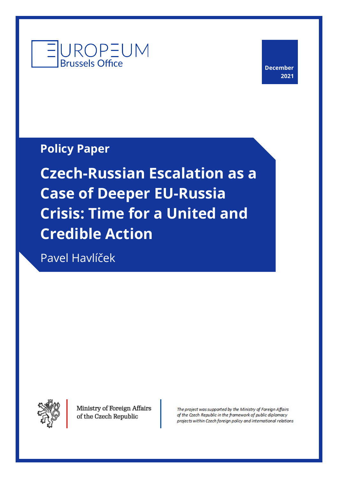

**December 2021**

**Policy Paper**

**Czech-Russian Escalation as a Case of Deeper EU-Russia Crisis: Time for a United and Credible Action**

Pavel Havlíček



Ministry of Foreign Affairs of the Czech Republic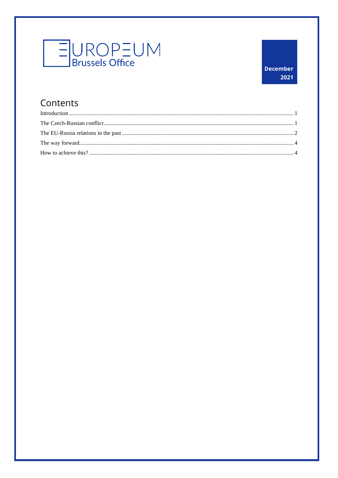

## Contents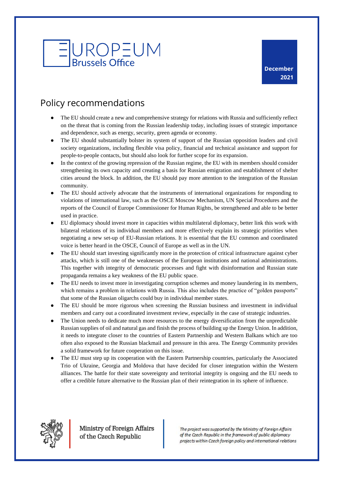

## Policy recommendations

- The EU should create a new and comprehensive strategy for relations with Russia and sufficiently reflect on the threat that is coming from the Russian leadership today, including issues of strategic importance and dependence, such as energy, security, green agenda or economy.
- The EU should substantially bolster its system of support of the Russian opposition leaders and civil society organizations, including flexible visa policy, financial and technical assistance and support for people-to-people contacts, but should also look for further scope for its expansion.
- In the context of the growing repression of the Russian regime, the EU with its members should consider strengthening its own capacity and creating a basis for Russian emigration and establishment of shelter cities around the block. In addition, the EU should pay more attention to the integration of the Russian community.
- The EU should actively advocate that the instruments of international organizations for responding to violations of international law, such as the OSCE Moscow Mechanism, UN Special Procedures and the reports of the Council of Europe Commissioner for Human Rights, be strengthened and able to be better used in practice.
- EU diplomacy should invest more in capacities within multilateral diplomacy, better link this work with bilateral relations of its individual members and more effectively explain its strategic priorities when negotiating a new set-up of EU-Russian relations. It is essential that the EU common and coordinated voice is better heard in the OSCE, Council of Europe as well as in the UN.
- The EU should start investing significantly more in the protection of critical infrastructure against cyber attacks, which is still one of the weaknesses of the European institutions and national administrations. This together with integrity of democratic processes and fight with disinformation and Russian state propaganda remains a key weakness of the EU public space.
- The EU needs to invest more in investigating corruption schemes and money laundering in its members, which remains a problem in relations with Russia. This also includes the practice of "golden passports" that some of the Russian oligarchs could buy in individual member states.
- The EU should be more rigorous when screening the Russian business and investment in individual members and carry out a coordinated investment review, especially in the case of strategic industries.
- The Union needs to dedicate much more resources to the energy diversification from the unpredictable Russian supplies of oil and natural gas and finish the process of building up the Energy Union. In addition, it needs to integrate closer to the countries of Eastern Partnership and Western Balkans which are too often also exposed to the Russian blackmail and pressure in this area. The Energy Community provides a solid framework for future cooperation on this issue.
- The EU must step up its cooperation with the Eastern Partnership countries, particularly the Associated Trio of Ukraine, Georgia and Moldova that have decided for closer integration within the Western alliances. The battle for their state sovereignty and territorial integrity is ongoing and the EU needs to offer a credible future alternative to the Russian plan of their reintegration in its sphere of influence.



Ministry of Foreign Affairs of the Czech Republic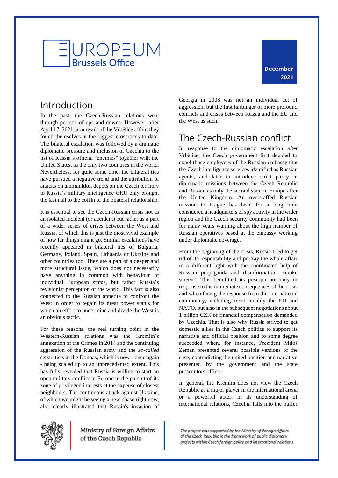

### <span id="page-3-0"></span>Introduction

In the past, the Czech-Russian relations went through periods of ups and downs. However, after April 17, 2021, as a result of the Vrbětice affair, they found themselves at the biggest crossroads to date. The bilateral escalation was followed by a dramatic diplomatic pressure and inclusion of Czechia to the list of Russia's official "enemies" together with the United States, as the only two countries in the world. Nevertheless, for quite some time, the bilateral ties have pursued a negative trend and the attribution of attacks on ammunition depots on the Czech territory to Russia's military intelligence GRU only brought the last nail to the coffin of the bilateral relationship.

It is essential to see the Czech-Russian crisis not as an isolated incident (or accident) but rather as a part of a wider series of crises between the West and Russia, of which this is just the most vivid example of how far things might go. Similar escalations have recently appeared in bilateral ties of Bulgaria, Germany, Poland, Spain, Lithuania or Ukraine and other countries too. They are a part of a deeper and more structural issue, which does not necessarily have anything in common with behaviour of individual European states, but rather Russia's revisionist perception of the world. This fact is also connected to the Russian appetite to confront the West in order to regain its great power status for which an effort to undermine and divide the West is an obvious tactic.

For these reasons, the real turning point in the Western-Russian relations was the Kremlin's annexation of the Crimea in 2014 and the continuing aggression of the Russian army and the *so-called* separatists in the Donbas, which is now - once again - being scaled up to an unprecedented extent. This has fully revealed that Russia is willing to start an open military conflict in Europe in the pursuit of its zone of privileged interests at the expense of closest neighbours. The continuous attack against Ukraine, of which we might be seeing a new phase right now, also clearly illustrated that Russia's invasion of Georgia in 2008 was not an individual act of aggression, but the first harbinger of more profound conflicts and crises between Russia and the EU and the West as such.

## <span id="page-3-1"></span>The Czech-Russian conflict

In response to the diplomatic escalation after Vrbětice, the Czech government first decided to expel those employees of the Russian embassy that the Czech intelligence services identified as Russian agents, and later to introduce strict parity in diplomatic missions between the Czech Republic and Russia, as only the second state in Europe after the United Kingdom. An overstaffed Russian mission to Prague has been for a long time considered a headquarters of spy activity in the wider region and the Czech security community had been for many years warning about the high number of Russian operatives based at the embassy working under diplomatic coverage.

From the beginning of the crisis, Russia tried to get rid of its responsibility and portray the whole affair in a different light with the coordinated help of Russian propaganda and disinformation "smoke screen". This benefitted its position not only in response to the immediate consequences of the crisis and when facing the response from the international community, including most notably the EU and NATO, but also in the subsequent negotiations about 1 billion CZK of financial compensation demanded by Czechia. That is also why Russia strived to get domestic allies in the Czech politics to support its narrative and official position and to some degree succeeded when, for instance, President Miloš Zeman presented several possible versions of the case, contradicting the united position and narrative presented by the government and the state prosecutors office.

In general, the Kremlin does not view the Czech Republic as a major player in the international arena or a powerful actor. In its understanding of international relations, Czechia falls into the buffer



Ministry of Foreign Affairs of the Czech Republic

1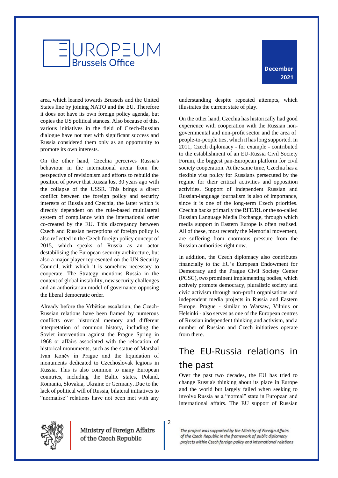

area, which leaned towards Brussels and the United States line by joining NATO and the EU. Therefore it does not have its own foreign policy agenda, but copies the US political stances. Also because of this, various initiatives in the field of Czech-Russian dialogue have not met with significant success and Russia considered them only as an opportunity to promote its own interests.

On the other hand, Czechia perceives Russia's behaviour in the international arena from the perspective of revisionism and efforts to rebuild the position of power that Russia lost 30 years ago with the collapse of the USSR. This brings a direct conflict between the foreign policy and security interests of Russia and Czechia, the latter which is directly dependent on the rule-based multilateral system of compliance with the international order co-created by the EU. This discrepancy between Czech and Russian perceptions of foreign policy is also reflected in the Czech foreign policy concept of 2015, which speaks of Russia as an actor destabilising the European security architecture, but also a major player represented on the UN Security Council, with which it is somehow necessary to cooperate. The Strategy mentions Russia in the context of global instability, new security challenges and an authoritarian model of governance opposing the liberal democratic order.

Already before the Vrbětice escalation, the Czech-Russian relations have been framed by numerous conflicts over historical memory and different interpretation of common history, including the Soviet intervention against the Prague Spring in 1968 or affairs associated with the relocation of historical monuments, such as the statue of Marshal Ivan Koněv in Prague and the liquidation of monuments dedicated to Czechoslovak legions in Russia. This is also common to many European countries, including the Baltic states, Poland, Romania, Slovakia, Ukraine or Germany. Due to the lack of political will of Russia, bilateral initiatives to "normalise" relations have not been met with any

understanding despite repeated attempts, which illustrates the current state of play.

On the other hand, Czechia has historically had good experience with cooperation with the Russian nongovernmental and non-profit sector and the area of people-to-people ties, which it has long supported. In 2011, Czech diplomacy - for example - contributed to the establishment of an EU-Russia Civil Society Forum, the biggest pan-European platform for civil society cooperation. At the same time, Czechia has a flexible visa policy for Russians persecuted by the regime for their critical activities and opposition activities. Support of independent Russian and Russian-language journalism is also of importance, since it is one of the long-term Czech priorities. Czechia backs primarily the RFE/RL or the so-called Russian Language Media Exchange, through which media support in Eastern Europe is often realised. All of these, most recently the Memorial movement, are suffering from enormous pressure from the Russian authorities right now.

In addition, the Czech diplomacy also contributes financially to the EU's European Endowment for Democracy and the Prague Civil Society Center (PCSC), two prominent implementing bodies, which actively promote democracy, pluralistic society and civic activism through non-profit organisations and independent media projects in Russia and Eastern Europe. Prague - similar to Warsaw, Vilnius or Helsinki - also serves as one of the European centres of Russian independent thinking and activism, and a number of Russian and Czech initiatives operate from there.

## <span id="page-4-0"></span>The EU-Russia relations in the past

Over the past two decades, the EU has tried to change Russia's thinking about its place in Europe and the world but largely failed when seeking to involve Russia as a "normal" state in European and international affairs. The EU support of Russian



Ministry of Foreign Affairs of the Czech Republic

2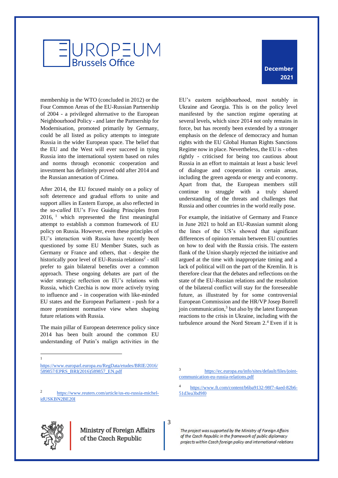# **JROPEUM Brussels Office**

#### **December 2021**

membership in the WTO (concluded in 2012) or the Four Common Areas of the EU-Russian Partnership of 2004 - a privileged alternative to the European Neighbourhood Policy - and later the Partnership for Modernisation, promoted primarily by Germany, could be all listed as policy attempts to integrate Russia in the wider European space. The belief that the EU and the West will ever succeed in tying Russia into the international system based on rules and norms through economic cooperation and investment has definitely proved odd after 2014 and the Russian annexation of Crimea.

After 2014, the EU focused mainly on a policy of soft deterrence and gradual efforts to unite and support allies in Eastern Europe, as also reflected in the *so-called* EU's Five Guiding Principles from 2016, <sup>1</sup> which represented the first meaningful attempt to establish a common framework of EU policy on Russia. However, even these principles of EU's interaction with Russia have recently been questioned by some EU Member States, such as Germany or France and others, that - despite the historically poor level of EU-Russia relations<sup>2</sup> - still prefer to gain bilateral benefits over a common approach. These ongoing debates are part of the wider strategic reflection on EU's relations with Russia, which Czechia is now more actively trying to influence and - in cooperation with like-minded EU states and the European Parliament - push for a more prominent normative view when shaping future relations with Russia.

The main pillar of European deterrence policy since 2014 has been built around the common EU understanding of Putin's malign activities in the

EU's eastern neighbourhood, most notably in Ukraine and Georgia. This is on the policy level manifested by the sanction regime operating at several levels, which since 2014 not only remains in force, but has recently been extended by a stronger emphasis on the defence of democracy and human rights with the EU Global Human Rights Sanctions Regime now in place. Nevertheless, the EU is - often rightly - criticised for being too cautious about Russia in an effort to maintain at least a basic level of dialogue and cooperation in certain areas, including the green agenda or energy and economy. Apart from that, the European members still continue to struggle with a truly shared understanding of the threats and challenges that Russia and other countries in the world really pose.

For example, the initiative of Germany and France in June 2021 to hold an EU-Russian summit along the lines of the US's showed that significant differences of opinion remain between EU countries on how to deal with the Russia crisis. The eastern flank of the Union sharply rejected the initiative and argued at the time with inappropriate timing and a lack of political will on the part of the Kremlin. It is therefore clear that the debates and reflections on the state of the EU-Russian relations and the resolution of the bilateral conflict will stay for the foreseeable future, as illustrated by for some controversial European Commission and the HR/VP Josep Borrell join communication,<sup>3</sup> but also by the latest European reactions to the crisis in Ukraine, including with the turbulence around the Nord Stream 2.<sup>4</sup> Even if it is

3 [https://ec.europa.eu/info/sites/default/files/joint](https://ec.europa.eu/info/sites/default/files/joint-communication-eu-russia-relations.pdf)[communication-eu-russia-relations.pdf](https://ec.europa.eu/info/sites/default/files/joint-communication-eu-russia-relations.pdf) 

4 [https://www.ft.com/content/b6ba9132-98f7-4aed-82b6-](https://www.ft.com/content/b6ba9132-98f7-4aed-82b6-51d3ea3bd9f0) [51d3ea3bd9f0](https://www.ft.com/content/b6ba9132-98f7-4aed-82b6-51d3ea3bd9f0)



1

3

[https://www.europarl.europa.eu/RegData/etudes/BRIE/2016/](https://www.europarl.europa.eu/RegData/etudes/BRIE/2016/589857/EPRS_BRI(2016)589857_EN.pdf) [589857/EPRS\\_BRI\(2016\)589857\\_EN.pdf](https://www.europarl.europa.eu/RegData/etudes/BRIE/2016/589857/EPRS_BRI(2016)589857_EN.pdf)

<sup>2</sup> [https://www.reuters.com/article/us-eu-russia-michel](https://www.reuters.com/article/us-eu-russia-michel-idUSKBN2BE20I)[idUSKBN2BE20I](https://www.reuters.com/article/us-eu-russia-michel-idUSKBN2BE20I)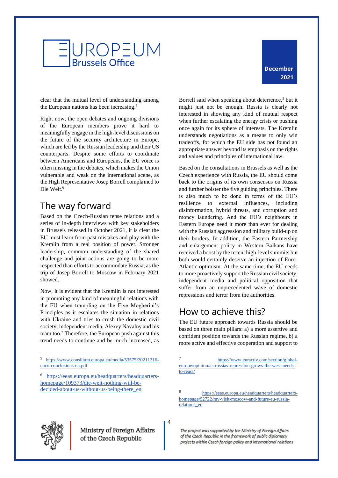



clear that the mutual level of understanding among the European nations has been increasing.<sup>5</sup>

Right now, the open debates and ongoing divisions of the European members prove it hard to meaningfully engage in the high-level discussions on the future of the security architecture in Europe, which are led by the Russian leadership and their US counterparts. Despite some efforts to coordinate between Americans and Europeans, the EU voice is often missing in the debates, which makes the Union vulnerable and weak on the international scene, as the High Representative Josep Borrell complained to Die Welt.<sup>6</sup>

## <span id="page-6-0"></span>The way forward

Based on the Czech-Russian tense relations and a series of in-depth interviews with key stakeholders in Brussels released in October 2021, it is clear the EU must learn from past mistakes and play with the Kremlin from a real position of power. Stronger leadership, common understanding of the shared challenge and joint actions are going to be more respected than efforts to accommodate Russia, as the trip of Josep Borrell to Moscow in February 2021 showed.

Now, it is evident that the Kremlin is not interested in promoting any kind of meaningful relations with the EU when trampling on the Five Mogherini's Principles as it escalates the situation in relations with Ukraine and tries to crush the domestic civil society, independent media, Alexey Navalny and his team too.<sup>7</sup> Therefore, the European push against this trend needs to continue and be much increased, as

5 [https://www.consilium.europa.eu/media/53575/20211216](https://www.consilium.europa.eu/media/53575/20211216-euco-conclusions-en.pdf) [euco-conclusions-en.pdf](https://www.consilium.europa.eu/media/53575/20211216-euco-conclusions-en.pdf)

Borrell said when speaking about deterrence,<sup>8</sup> but it might just not be enough. Russia is clearly not interested in showing any kind of mutual respect when further escalating the energy crisis or pushing once again for its sphere of interests. The Kremlin understands negotiations as a means to only win tradeoffs, for which the EU side has not found an appropriate answer beyond its emphasis on the rights and values and principles of international law.

Based on the consultations in Brussels as well as the Czech experience with Russia, the EU should come back to the origins of its own consensus on Russia and further bolster the five guiding principles. There is also much to be done in terms of the EU's resilience to external influences, including disinformation, hybrid threats, and corruption and money laundering. And the EU's neighbours in Eastern Europe need it more than ever for dealing with the Russian aggression and military build-up on their borders. In addition, the Eastern Partnership and enlargement policy in Western Balkans have received a boost by the recent high-level summits but both would certainly deserve an injection of Euro-Atlantic optimism. At the same time, the EU needs to more proactively support the Russian civil society, independent media and political opposition that suffer from an unprecedented wave of domestic repressions and terror from the authorities.

## <span id="page-6-1"></span>How to achieve this?

The EU future approach towards Russia should be based on three main pillars: a) a more assertive and confident position towards the Russian regime, b) a more active and effective cooperation and support to



4

<sup>6</sup> [https://eeas.europa.eu/headquarters/headquarters](https://eeas.europa.eu/headquarters/headquarters-homepage/109373/die-welt-nothing-will-be-decided-about-us-without-us-being-there_en)[homepage/109373/die-welt-nothing-will-be](https://eeas.europa.eu/headquarters/headquarters-homepage/109373/die-welt-nothing-will-be-decided-about-us-without-us-being-there_en)[decided-about-us-without-us-being-there\\_en](https://eeas.europa.eu/headquarters/headquarters-homepage/109373/die-welt-nothing-will-be-decided-about-us-without-us-being-there_en)

<sup>7</sup> [https://www.euractiv.com/section/global](https://www.euractiv.com/section/global-europe/opinion/as-russias-repression-grows-the-west-needs-to-react/)[europe/opinion/as-russias-repression-grows-the-west-needs](https://www.euractiv.com/section/global-europe/opinion/as-russias-repression-grows-the-west-needs-to-react/)[to-react/](https://www.euractiv.com/section/global-europe/opinion/as-russias-repression-grows-the-west-needs-to-react/)

<sup>8</sup> [https://eeas.europa.eu/headquarters/headquarters](https://eeas.europa.eu/headquarters/headquarters-homepage/92722/my-visit-moscow-and-future-eu-russia-relations_en)[homepage/92722/my-visit-moscow-and-future-eu-russia](https://eeas.europa.eu/headquarters/headquarters-homepage/92722/my-visit-moscow-and-future-eu-russia-relations_en)[relations\\_en](https://eeas.europa.eu/headquarters/headquarters-homepage/92722/my-visit-moscow-and-future-eu-russia-relations_en)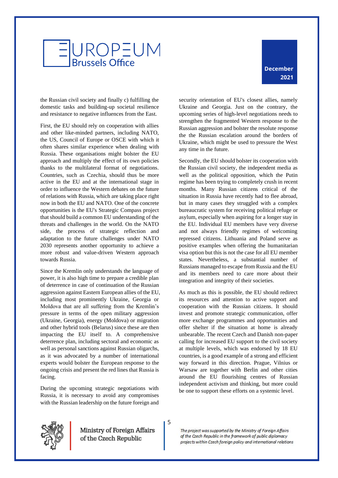



the Russian civil society and finally c) fulfilling the domestic tasks and building-up societal resilience and resistance to negative influences from the East.

First, the EU should rely on cooperation with allies and other like-minded partners, including NATO, the US, Council of Europe or OSCE with which it often shares similar experience when dealing with Russia. These organisations might bolster the EU approach and multiply the effect of its own policies thanks to the multilateral format of negotiations. Countries, such as Czechia, should thus be more active in the EU and at the international stage in order to influence the Western debates on the future of relations with Russia, which are taking place right now in both the EU and NATO. One of the concrete opportunities is the EU's Strategic Compass project that should build a common EU understanding of the threats and challenges in the world. On the NATO side, the process of strategic reflection and adaptation to the future challenges under NATO 2030 represents another opportunity to achieve a more robust and value-driven Western approach towards Russia.

Since the Kremlin only understands the language of power, it is also high time to prepare a credible plan of deterrence in case of continuation of the Russian aggression against Eastern European allies of the EU, including most prominently Ukraine, Georgia or Moldova that are all suffering from the Kremlin's pressure in terms of the open military aggression (Ukraine, Georgia), energy (Moldova) or migration and other hybrid tools (Belarus) since these are then impacting the EU itself to. A comprehensive deterrence plan, including sectoral and economic as well as personal sanctions against Russian oligarchs, as it was advocated by a number of international experts would bolster the European response to the ongoing crisis and present the red lines that Russia is facing.

During the upcoming strategic negotiations with Russia, it is necessary to avoid any compromises with the Russian leadership on the future foreign and

security orientation of EU's closest allies, namely Ukraine and Georgia. Just on the contrary, the upcoming series of high-level negotiations needs to strengthen the fragmented Western response to the Russian aggression and bolster the resolute response the the Russian escalation around the borders of Ukraine, which might be used to pressure the West any time in the future.

Secondly, the EU should bolster its cooperation with the Russian civil society, the independent media as well as the political opposition, which the Putin regime has been trying to completely crush in recent months. Many Russian citizens critical of the situation in Russia have recently had to flee abroad, but in many cases they struggled with a complex bureaucratic system for receiving political refuge or asylum, especially when aspiring for a longer stay in the EU. Individual EU members have very diverse and not always friendly regimes of welcoming repressed citizens. Lithuania and Poland serve as positive examples when offering the humanitarian visa option but this is not the case for all EU member states. Nevertheless, a substantial number of Russians managed to escape from Russia and the EU and its members need to care more about their integration and integrity of their societies.

As much as this is possible, the EU should redirect its resources and attention to active support and cooperation with the Russian citizens. It should invest and promote strategic communication, offer more exchange programmes and opportunities and offer shelter if the situation at home is already unbearable. The recent Czech and Danish non-paper calling for increased EU support to the civil society at multiple levels, which was endorsed by 18 EU countries, is a good example of a strong and efficient way forward in this direction. Prague, Vilnius or Warsaw are together with Berlin and other cities around the EU flourishing centres of Russian independent activism and thinking, but more could be one to support these efforts on a systemic level.



Ministry of Foreign Affairs of the Czech Republic

5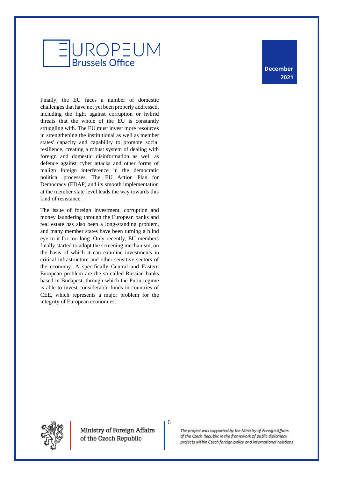# **ROPEUM Brussels Office**

Finally, the EU faces a number of domestic challenges that have not yet been properly addressed, including the fight against corruption or hybrid threats that the whole of the EU is constantly struggling with. The EU must invest more resources in strengthening the institutional as well as member states' capacity and capability to promote social resilience, creating a robust system of dealing with foreign and domestic disinformation as well as defence against cyber attacks and other forms of malign foreign interference in the democratic political processes. The EU Action Plan for Democracy (EDAP) and its smooth implementation at the member state level leads the way towards this kind of resistance.

The issue of foreign investment, corruption and money laundering through the European banks and real estate has also been a long-standing problem, and many member states have been turning a blind eye to it for too long. Only recently, EU members finally started to adopt the screening mechanism, on the basis of which it can examine investments in critical infrastructure and other sensitive sectors of the economy. A specifically Central and Eastern European problem are the so-called Russian banks based in Budapest, through which the Putin regime is able to invest considerable funds in countries of CEE, which represents a major problem for the integrity of European economies.

**December 2021**



Ministry of Foreign Affairs of the Czech Republic

6